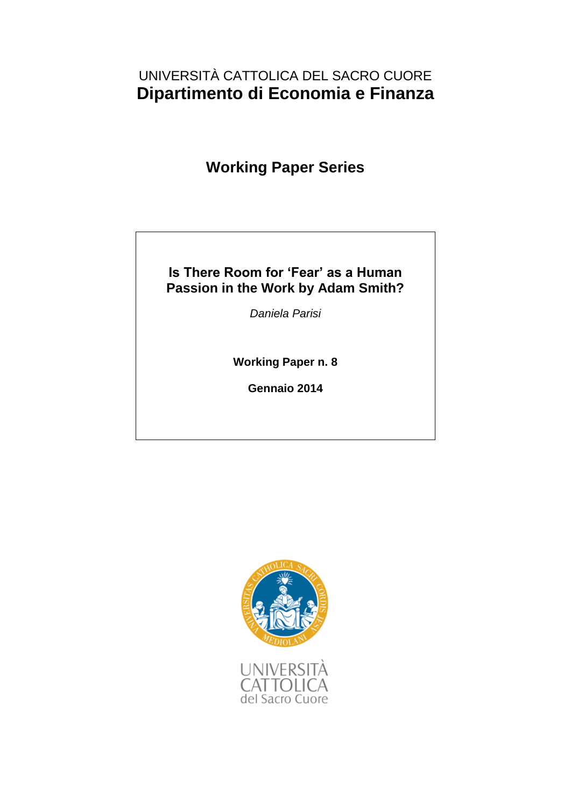# UNIVERSITÀ CATTOLICA DEL SACRO CUORE **Dipartimento di Economia e Finanza**

# **Working Paper Series**

# **Is There Room for 'Fear' as a Human Passion in the Work by Adam Smith?**

*Daniela Parisi*

**Working Paper n. 8**

**Gennaio 2014**

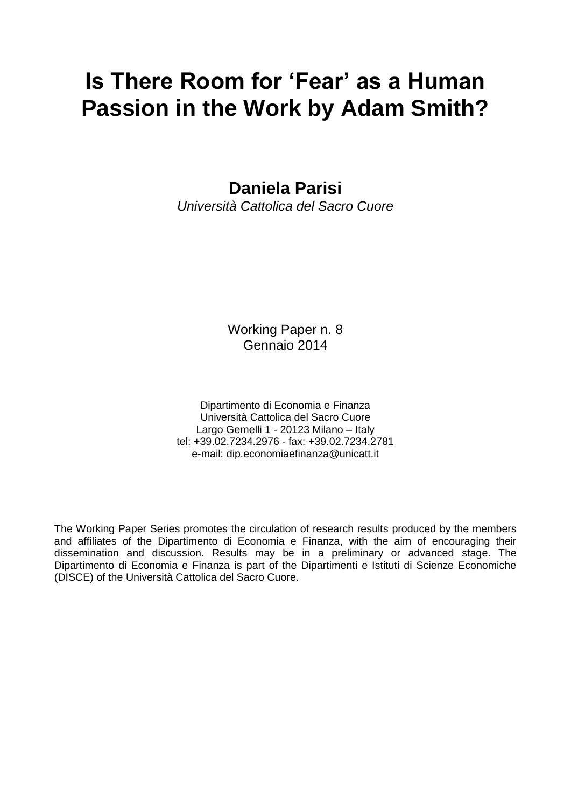# **Is There Room for 'Fear' as a Human Passion in the Work by Adam Smith?**

**Daniela Parisi**

*Università Cattolica del Sacro Cuore*

Working Paper n. 8 Gennaio 2014

Dipartimento di Economia e Finanza Università Cattolica del Sacro Cuore Largo Gemelli 1 - 20123 Milano – Italy tel: +39.02.7234.2976 - fax: +39.02.7234.2781 e-mail: dip.economiaefinanza@unicatt.it

The Working Paper Series promotes the circulation of research results produced by the members and affiliates of the Dipartimento di Economia e Finanza, with the aim of encouraging their dissemination and discussion. Results may be in a preliminary or advanced stage. The Dipartimento di Economia e Finanza is part of the Dipartimenti e Istituti di Scienze Economiche (DISCE) of the Università Cattolica del Sacro Cuore.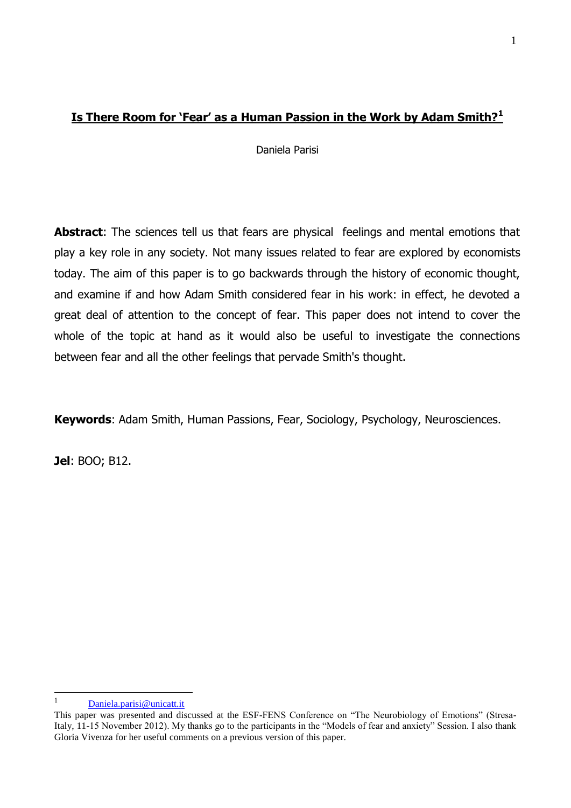# **Is There Room for "Fear" as a Human Passion in the Work by Adam Smith?<sup>1</sup>**

Daniela Parisi

**Abstract:** The sciences tell us that fears are physical feelings and mental emotions that play a key role in any society. Not many issues related to fear are explored by economists today. The aim of this paper is to go backwards through the history of economic thought, and examine if and how Adam Smith considered fear in his work: in effect, he devoted a great deal of attention to the concept of fear. This paper does not intend to cover the whole of the topic at hand as it would also be useful to investigate the connections between fear and all the other feelings that pervade Smith's thought.

**Keywords**: Adam Smith, Human Passions, Fear, Sociology, Psychology, Neurosciences.

**Jel**: BOO; B12.

 $\mathbf{1}$ [Daniela.parisi@unicatt.it](mailto:Daniela.parisi@unicatt.it)

This paper was presented and discussed at the ESF-FENS Conference on "The Neurobiology of Emotions" (Stresa-Italy, 11-15 November 2012). My thanks go to the participants in the "Models of fear and anxiety" Session. I also thank Gloria Vivenza for her useful comments on a previous version of this paper.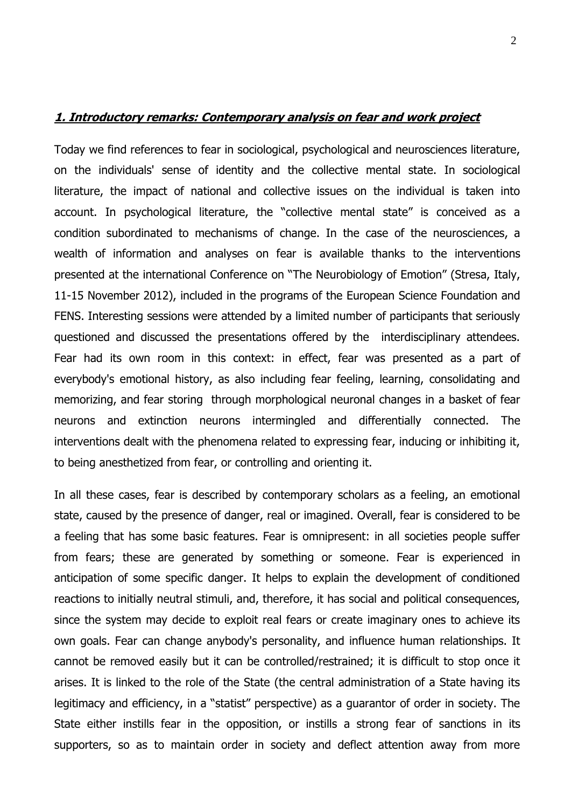## **1. Introductory remarks: Contemporary analysis on fear and work project**

Today we find references to fear in sociological, psychological and neurosciences literature, on the individuals' sense of identity and the collective mental state. In sociological literature, the impact of national and collective issues on the individual is taken into account. In psychological literature, the "collective mental state" is conceived as a condition subordinated to mechanisms of change. In the case of the neurosciences, a wealth of information and analyses on fear is available thanks to the interventions presented at the international Conference on "The Neurobiology of Emotion" (Stresa, Italy, 11-15 November 2012), included in the programs of the European Science Foundation and FENS. Interesting sessions were attended by a limited number of participants that seriously questioned and discussed the presentations offered by the interdisciplinary attendees. Fear had its own room in this context: in effect, fear was presented as a part of everybody's emotional history, as also including fear feeling, learning, consolidating and memorizing, and fear storing through morphological neuronal changes in a basket of fear neurons and extinction neurons intermingled and differentially connected. The interventions dealt with the phenomena related to expressing fear, inducing or inhibiting it, to being anesthetized from fear, or controlling and orienting it.

In all these cases, fear is described by contemporary scholars as a feeling, an emotional state, caused by the presence of danger, real or imagined. Overall, fear is considered to be a feeling that has some basic features. Fear is omnipresent: in all societies people suffer from fears; these are generated by something or someone. Fear is experienced in anticipation of some specific danger. It helps to explain the development of conditioned reactions to initially neutral stimuli, and, therefore, it has social and political consequences, since the system may decide to exploit real fears or create imaginary ones to achieve its own goals. Fear can change anybody's personality, and influence human relationships. It cannot be removed easily but it can be controlled/restrained; it is difficult to stop once it arises. It is linked to the role of the State (the central administration of a State having its legitimacy and efficiency, in a "statist" perspective) as a guarantor of order in society. The State either instills fear in the opposition, or instills a strong fear of sanctions in its supporters, so as to maintain order in society and deflect attention away from more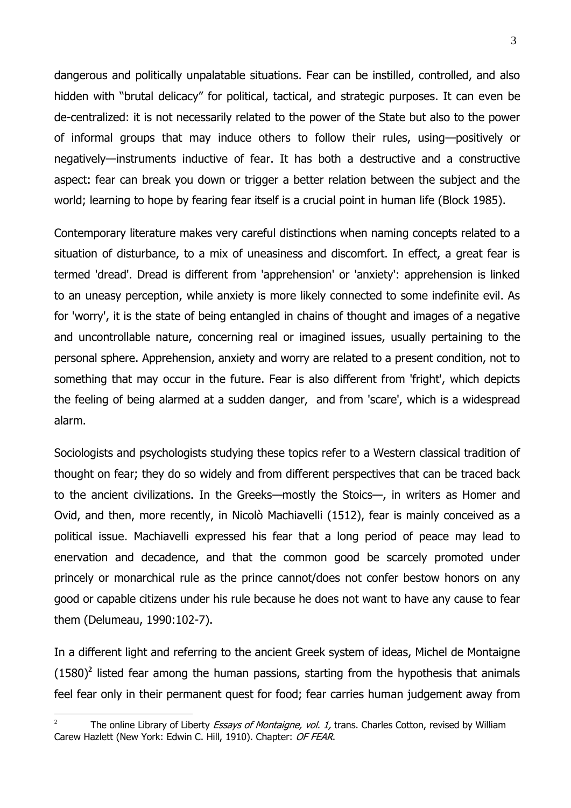dangerous and politically unpalatable situations. Fear can be instilled, controlled, and also hidden with "brutal delicacy" for political, tactical, and strategic purposes. It can even be de-centralized: it is not necessarily related to the power of the State but also to the power of informal groups that may induce others to follow their rules, using—positively or negatively—instruments inductive of fear. It has both a destructive and a constructive aspect: fear can break you down or trigger a better relation between the subject and the world; learning to hope by fearing fear itself is a crucial point in human life (Block 1985).

Contemporary literature makes very careful distinctions when naming concepts related to a situation of disturbance, to a mix of uneasiness and discomfort. In effect, a great fear is termed 'dread'. Dread is different from 'apprehension' or 'anxiety': apprehension is linked to an uneasy perception, while anxiety is more likely connected to some indefinite evil. As for 'worry', it is the state of being entangled in chains of thought and images of a negative and uncontrollable nature, concerning real or imagined issues, usually pertaining to the personal sphere. Apprehension, anxiety and worry are related to a present condition, not to something that may occur in the future. Fear is also different from 'fright', which depicts the feeling of being alarmed at a sudden danger, and from 'scare', which is a widespread alarm.

Sociologists and psychologists studying these topics refer to a Western classical tradition of thought on fear; they do so widely and from different perspectives that can be traced back to the ancient civilizations. In the Greeks—mostly the Stoics—, in writers as Homer and Ovid, and then, more recently, in Nicolò Machiavelli (1512), fear is mainly conceived as a political issue. Machiavelli expressed his fear that a long period of peace may lead to enervation and decadence, and that the common good be scarcely promoted under princely or monarchical rule as the prince cannot/does not confer bestow honors on any good or capable citizens under his rule because he does not want to have any cause to fear them (Delumeau, 1990:102-7).

In a different light and referring to the ancient Greek system of ideas, Michel de Montaigne (1580)**<sup>2</sup>** listed fear among the human passions, starting from the hypothesis that animals feel fear only in their permanent quest for food; fear carries human judgement away from

<u>.</u>

<sup>2</sup> The online Library of Liberty Essays of Montaigne, vol. 1, trans. Charles Cotton, revised by William Carew Hazlett (New York: Edwin C. Hill, 1910). Chapter: OF FEAR.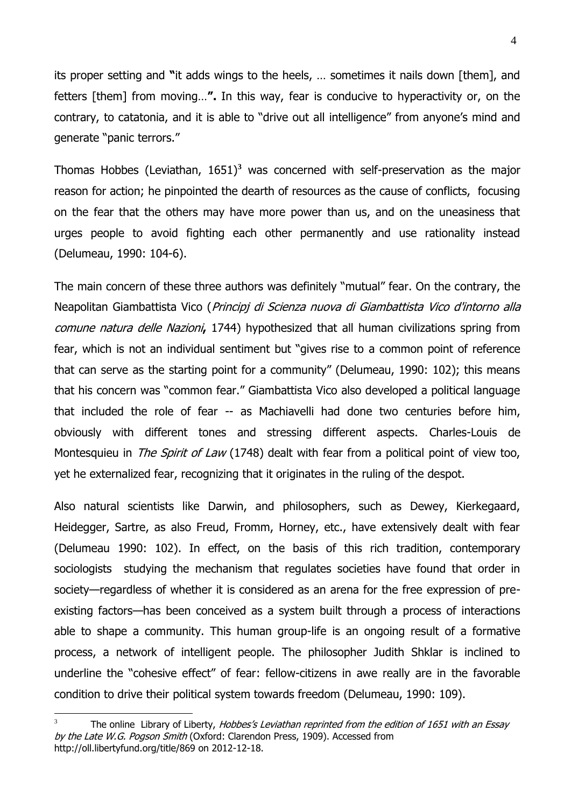its proper setting and **"**it adds wings to the heels, … sometimes it nails down [them], and fetters [them] from moving…**".** In this way, fear is conducive to hyperactivity or, on the contrary, to catatonia, and it is able to "drive out all intelligence" from anyone's mind and generate "panic terrors."

Thomas Hobbes (Leviathan, 1651)**<sup>3</sup>** was concerned with self-preservation as the major reason for action; he pinpointed the dearth of resources as the cause of conflicts, focusing on the fear that the others may have more power than us, and on the uneasiness that urges people to avoid fighting each other permanently and use rationality instead (Delumeau, 1990: 104-6).

The main concern of these three authors was definitely "mutual" fear. On the contrary, the Neapolitan Giambattista Vico (Principj di Scienza nuova di Giambattista Vico d'intorno alla comune natura delle Nazioni**,** 1744) hypothesized that all human civilizations spring from fear, which is not an individual sentiment but "gives rise to a common point of reference that can serve as the starting point for a community" (Delumeau, 1990: 102); this means that his concern was "common fear." Giambattista Vico also developed a political language that included the role of fear -- as Machiavelli had done two centuries before him, obviously with different tones and stressing different aspects. Charles-Louis de Montesquieu in *The Spirit of Law* (1748) dealt with fear from a political point of view too, yet he externalized fear, recognizing that it originates in the ruling of the despot.

Also natural scientists like Darwin, and philosophers, such as Dewey, Kierkegaard, Heidegger, Sartre, as also Freud, Fromm, Horney, etc., have extensively dealt with fear (Delumeau 1990: 102). In effect, on the basis of this rich tradition, contemporary sociologists studying the mechanism that regulates societies have found that order in society—regardless of whether it is considered as an arena for the free expression of preexisting factors—has been conceived as a system built through a process of interactions able to shape a community. This human group-life is an ongoing result of a formative process, a network of intelligent people. The philosopher Judith Shklar is inclined to underline the "cohesive effect" of fear: fellow-citizens in awe really are in the favorable condition to drive their political system towards freedom (Delumeau, 1990: 109).

<sup>3</sup> The online Library of Liberty, Hobbes's Leviathan reprinted from the edition of 1651 with an Essay by the Late W.G. Pogson Smith (Oxford: Clarendon Press, 1909). Accessed from http://oll.libertyfund.org/title/869 on 2012-12-18.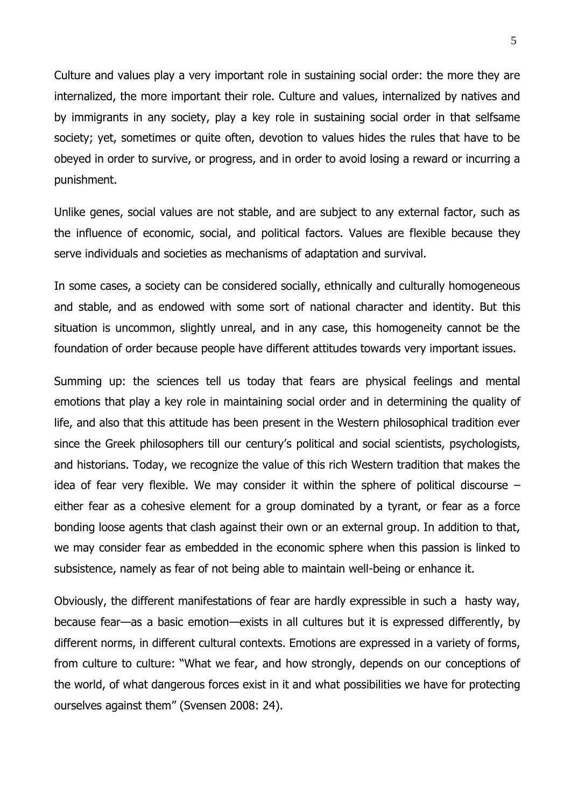Culture and values play a very important role in sustaining social order: the more they are internalized, the more important their role. Culture and values, internalized by natives and by immigrants in any society, play a key role in sustaining social order in that selfsame society; yet, sometimes or quite often, devotion to values hides the rules that have to be obeyed in order to survive, or progress, and in order to avoid losing a reward or incurring a punishment.

Unlike genes, social values are not stable, and are subject to any external factor, such as the influence of economic, social, and political factors. Values are flexible because they serve individuals and societies as mechanisms of adaptation and survival.

In some cases, a society can be considered socially, ethnically and culturally homogeneous and stable, and as endowed with some sort of national character and identity. But this situation is uncommon, slightly unreal, and in any case, this homogeneity cannot be the foundation of order because people have different attitudes towards very important issues.

Summing up: the sciences tell us today that fears are physical feelings and mental emotions that play a key role in maintaining social order and in determining the quality of life, and also that this attitude has been present in the Western philosophical tradition ever since the Greek philosophers till our century's political and social scientists, psychologists, and historians. Today, we recognize the value of this rich Western tradition that makes the idea of fear very flexible. We may consider it within the sphere of political discourse – either fear as a cohesive element for a group dominated by a tyrant, or fear as a force bonding loose agents that clash against their own or an external group. In addition to that, we may consider fear as embedded in the economic sphere when this passion is linked to subsistence, namely as fear of not being able to maintain well-being or enhance it.

Obviously, the different manifestations of fear are hardly expressible in such a hasty way, because fear—as a basic emotion—exists in all cultures but it is expressed differently, by different norms, in different cultural contexts. Emotions are expressed in a variety of forms, from culture to culture: "What we fear, and how strongly, depends on our conceptions of the world, of what dangerous forces exist in it and what possibilities we have for protecting ourselves against them" (Svensen 2008: 24).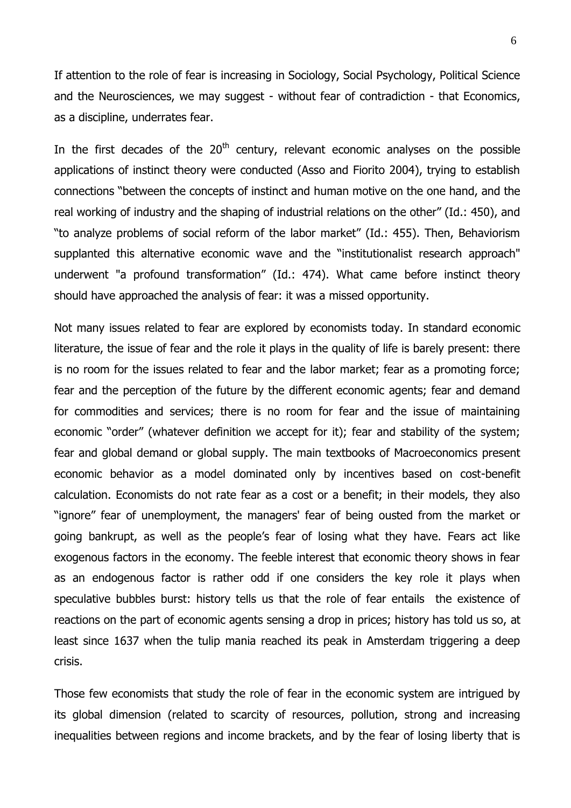If attention to the role of fear is increasing in Sociology, Social Psychology, Political Science and the Neurosciences, we may suggest - without fear of contradiction - that Economics, as a discipline, underrates fear.

In the first decades of the  $20<sup>th</sup>$  century, relevant economic analyses on the possible applications of instinct theory were conducted (Asso and Fiorito 2004), trying to establish connections "between the concepts of instinct and human motive on the one hand, and the real working of industry and the shaping of industrial relations on the other" (Id.: 450), and "to analyze problems of social reform of the labor market" (Id.: 455). Then, Behaviorism supplanted this alternative economic wave and the "institutionalist research approach" underwent "a profound transformation" (Id.: 474). What came before instinct theory should have approached the analysis of fear: it was a missed opportunity.

Not many issues related to fear are explored by economists today. In standard economic literature, the issue of fear and the role it plays in the quality of life is barely present: there is no room for the issues related to fear and the labor market; fear as a promoting force; fear and the perception of the future by the different economic agents; fear and demand for commodities and services; there is no room for fear and the issue of maintaining economic "order" (whatever definition we accept for it); fear and stability of the system; fear and global demand or global supply. The main textbooks of Macroeconomics present economic behavior as a model dominated only by incentives based on cost-benefit calculation. Economists do not rate fear as a cost or a benefit; in their models, they also "ignore" fear of unemployment, the managers' fear of being ousted from the market or going bankrupt, as well as the people's fear of losing what they have. Fears act like exogenous factors in the economy. The feeble interest that economic theory shows in fear as an endogenous factor is rather odd if one considers the key role it plays when speculative bubbles burst: history tells us that the role of fear entails the existence of reactions on the part of economic agents sensing a drop in prices; history has told us so, at least since 1637 when the tulip mania reached its peak in Amsterdam triggering a deep crisis.

Those few economists that study the role of fear in the economic system are intrigued by its global dimension (related to scarcity of resources, pollution, strong and increasing inequalities between regions and income brackets, and by the fear of losing liberty that is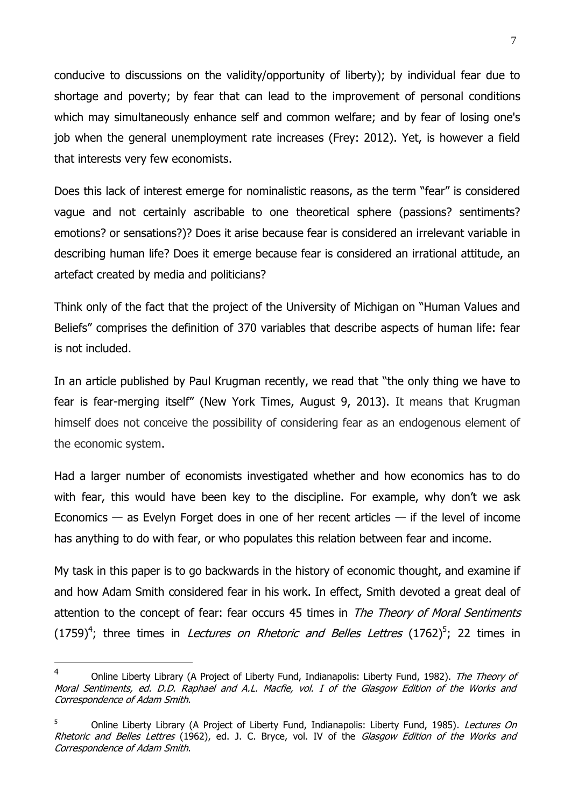conducive to discussions on the validity/opportunity of liberty); by individual fear due to shortage and poverty; by fear that can lead to the improvement of personal conditions which may simultaneously enhance self and common welfare; and by fear of losing one's job when the general unemployment rate increases (Frey: 2012). Yet, is however a field that interests very few economists.

Does this lack of interest emerge for nominalistic reasons, as the term "fear" is considered vague and not certainly ascribable to one theoretical sphere (passions? sentiments? emotions? or sensations?)? Does it arise because fear is considered an irrelevant variable in describing human life? Does it emerge because fear is considered an irrational attitude, an artefact created by media and politicians?

Think only of the fact that the project of the University of Michigan on "Human Values and Beliefs" comprises the definition of 370 variables that describe aspects of human life: fear is not included.

In an article published by Paul Krugman recently, we read that "the only thing we have to fear is fear-merging itself" (New York Times, August 9, 2013). It means that Krugman himself does not conceive the possibility of considering fear as an endogenous element of the economic system.

Had a larger number of economists investigated whether and how economics has to do with fear, this would have been key to the discipline. For example, why don't we ask Economics — as Evelyn Forget does in one of her recent articles — if the level of income has anything to do with fear, or who populates this relation between fear and income.

My task in this paper is to go backwards in the history of economic thought, and examine if and how Adam Smith considered fear in his work. In effect, Smith devoted a great deal of attention to the concept of fear: fear occurs 45 times in The Theory of Moral Sentiments (1759)<sup>4</sup>; three times in *Lectures on Rhetoric and Belles Lettres* (1762)<sup>5</sup>; 22 times in

<u>.</u>

<sup>4</sup> Online Liberty Library (A Project of Liberty Fund, Indianapolis: Liberty Fund, 1982). The Theory of Moral Sentiments, ed. D.D. Raphael and A.L. Macfie, vol. I of the Glasgow Edition of the Works and Correspondence of Adam Smith.

Online Liberty Library (A Project of Liberty Fund, Indianapolis: Liberty Fund, 1985). Lectures On Rhetoric and Belles Lettres (1962), ed. J. C. Bryce, vol. IV of the Glasgow Edition of the Works and Correspondence of Adam Smith.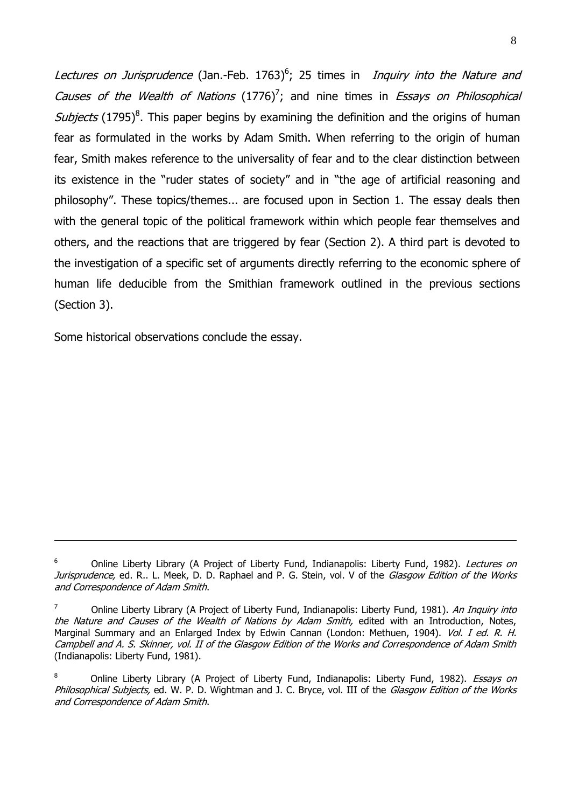Lectures on Jurisprudence (Jan.-Feb. 1763)<sup>6</sup>; 25 times in Inquiry into the Nature and Causes of the Wealth of Nations  $(1776)^7$ ; and nine times in Essays on Philosophical Subjects (1795)<sup>8</sup>. This paper begins by examining the definition and the origins of human fear as formulated in the works by Adam Smith. When referring to the origin of human fear, Smith makes reference to the universality of fear and to the clear distinction between its existence in the "ruder states of society" and in "the age of artificial reasoning and philosophy". These topics/themes... are focused upon in Section 1. The essay deals then with the general topic of the political framework within which people fear themselves and others, and the reactions that are triggered by fear (Section 2). A third part is devoted to the investigation of a specific set of arguments directly referring to the economic sphere of human life deducible from the Smithian framework outlined in the previous sections (Section 3).

Some historical observations conclude the essay.

<sup>&</sup>lt;sup>6</sup> Online Liberty Library (A Project of Liberty Fund, Indianapolis: Liberty Fund, 1982). Lectures on Jurisprudence, ed. R.. L. Meek, D. D. Raphael and P. G. Stein, vol. V of the Glasgow Edition of the Works and Correspondence of Adam Smith.

<sup>&</sup>lt;sup>7</sup> Online Liberty Library (A Project of Liberty Fund, Indianapolis: Liberty Fund, 1981). An Inquiry into the Nature and Causes of the Wealth of Nations by Adam Smith, edited with an Introduction, Notes, Marginal Summary and an Enlarged Index by Edwin Cannan (London: Methuen, 1904). Vol. I ed. R. H. Campbell and A. S. Skinner, vol. II of the Glasgow Edition of the Works and Correspondence of Adam Smith (Indianapolis: Liberty Fund, 1981).

<sup>8</sup> Online Liberty Library (A Project of Liberty Fund, Indianapolis: Liberty Fund, 1982). *Essays on* Philosophical Subjects, ed. W. P. D. Wightman and J. C. Bryce, vol. III of the Glasgow Edition of the Works and Correspondence of Adam Smith.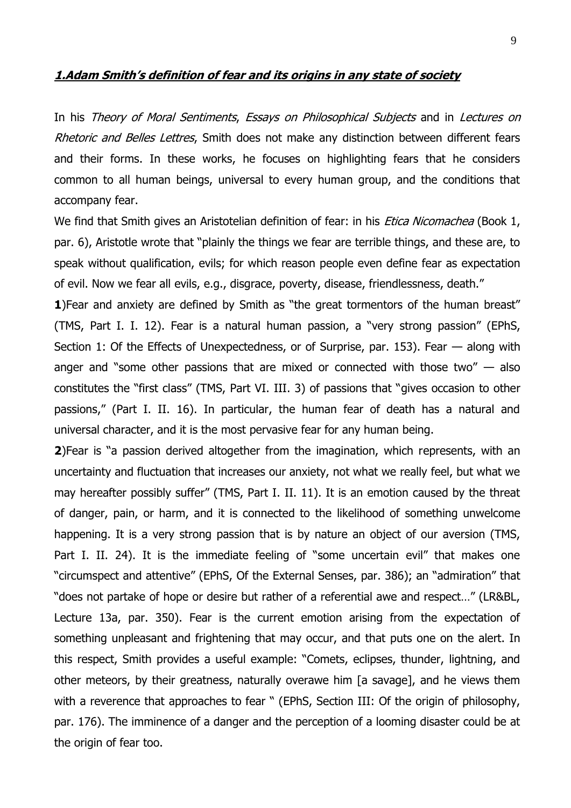## **1.Adam Smith"s definition of fear and its origins in any state of society**

In his Theory of Moral Sentiments, Essays on Philosophical Subjects and in Lectures on Rhetoric and Belles Lettres, Smith does not make any distinction between different fears and their forms. In these works, he focuses on highlighting fears that he considers common to all human beings, universal to every human group, and the conditions that accompany fear.

We find that Smith gives an Aristotelian definition of fear: in his *Etica Nicomachea* (Book 1, par. 6), Aristotle wrote that "plainly the things we fear are terrible things, and these are, to speak without qualification, evils; for which reason people even define fear as expectation of evil. Now we fear all evils, e.g., disgrace, poverty, disease, friendlessness, death."

**1**)Fear and anxiety are defined by Smith as "the great tormentors of the human breast" (TMS, Part I. I. 12). Fear is a natural human passion, a "very strong passion" (EPhS, Section 1: Of the Effects of Unexpectedness, or of Surprise, par. 153). Fear — along with anger and "some other passions that are mixed or connected with those two"  $-$  also constitutes the "first class" (TMS, Part VI. III. 3) of passions that "gives occasion to other passions," (Part I. II. 16). In particular, the human fear of death has a natural and universal character, and it is the most pervasive fear for any human being.

**2**)Fear is "a passion derived altogether from the imagination, which represents, with an uncertainty and fluctuation that increases our anxiety, not what we really feel, but what we may hereafter possibly suffer" (TMS, Part I. II. 11). It is an emotion caused by the threat of danger, pain, or harm, and it is connected to the likelihood of something unwelcome happening. It is a very strong passion that is by nature an object of our aversion (TMS, Part I. II. 24). It is the immediate feeling of "some uncertain evil" that makes one "circumspect and attentive" (EPhS, Of the External Senses, par. 386); an "admiration" that "does not partake of hope or desire but rather of a referential awe and respect..." (LR&BL, Lecture 13a, par. 350). Fear is the current emotion arising from the expectation of something unpleasant and frightening that may occur, and that puts one on the alert. In this respect, Smith provides a useful example: "Comets, eclipses, thunder, lightning, and other meteors, by their greatness, naturally overawe him [a savage], and he views them with a reverence that approaches to fear " (EPhS, Section III: Of the origin of philosophy, par. 176). The imminence of a danger and the perception of a looming disaster could be at the origin of fear too.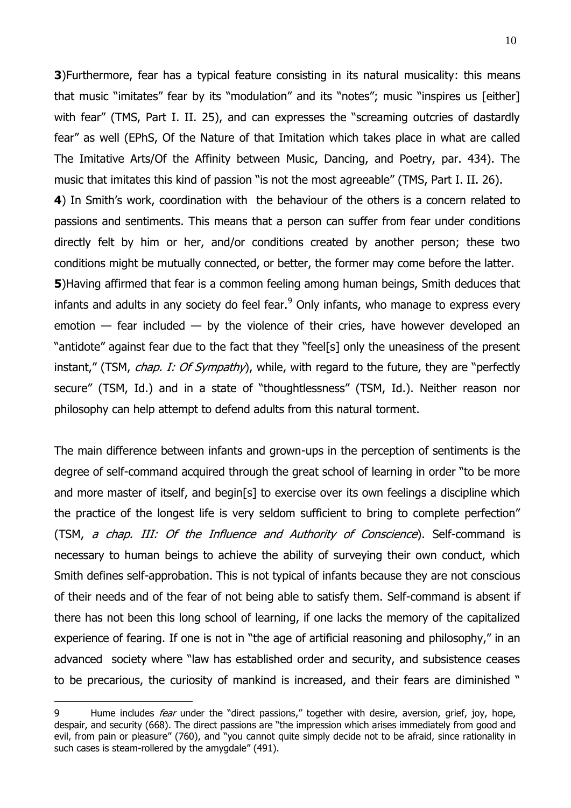**3**)Furthermore, fear has a typical feature consisting in its natural musicality: this means that music "imitates" fear by its "modulation" and its "notes"; music "inspires us [either] with fear" (TMS, Part I. II. 25), and can expresses the "screaming outcries of dastardly fear" as well (EPhS, Of the Nature of that Imitation which takes place in what are called The Imitative Arts/Of the Affinity between Music, Dancing, and Poetry, par. 434). The music that imitates this kind of passion "is not the most agreeable" (TMS, Part I. II. 26). **4**) In Smith's work, coordination with the behaviour of the others is a concern related to passions and sentiments. This means that a person can suffer from fear under conditions directly felt by him or her, and/or conditions created by another person; these two conditions might be mutually connected, or better, the former may come before the latter. **5**)Having affirmed that fear is a common feeling among human beings, Smith deduces that infants and adults in any society do feel fear. $<sup>9</sup>$  Only infants, who manage to express every</sup> emotion — fear included — by the violence of their cries, have however developed an "antidote" against fear due to the fact that they "feel[s] only the uneasiness of the present instant," (TSM, chap. I: Of Sympathy), while, with regard to the future, they are "perfectly secure" (TSM, Id.) and in a state of "thoughtlessness" (TSM, Id.). Neither reason nor philosophy can help attempt to defend adults from this natural torment.

The main difference between infants and grown-ups in the perception of sentiments is the degree of self-command acquired through the great school of learning in order "to be more and more master of itself, and begin[s] to exercise over its own feelings a discipline which the practice of the longest life is very seldom sufficient to bring to complete perfection" (TSM, a chap. III: Of the Influence and Authority of Conscience). Self-command is necessary to human beings to achieve the ability of surveying their own conduct, which Smith defines self-approbation. This is not typical of infants because they are not conscious of their needs and of the fear of not being able to satisfy them. Self-command is absent if there has not been this long school of learning, if one lacks the memory of the capitalized experience of fearing. If one is not in "the age of artificial reasoning and philosophy," in an advanced society where "law has established order and security, and subsistence ceases to be precarious, the curiosity of mankind is increased, and their fears are diminished "

<sup>9</sup> Hume includes *fear* under the "direct passions," together with desire, aversion, grief, joy, hope, despair, and security (668). The direct passions are "the impression which arises immediately from good and evil, from pain or pleasure" (760), and "you cannot quite simply decide not to be afraid, since rationality in such cases is steam-rollered by the amygdale" (491).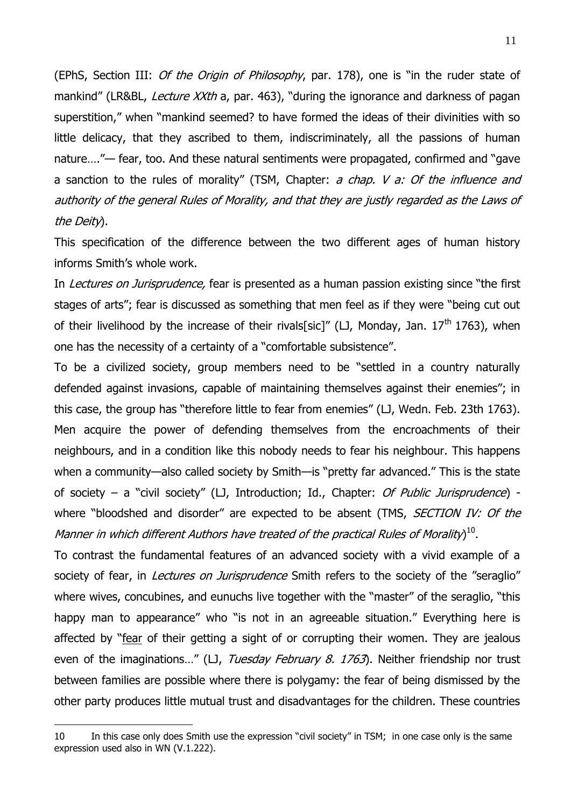(EPhS, Section III: *Of the Origin of Philosophy*, par. 178), one is "in the ruder state of mankind" (LR&BL, Lecture XXth a, par. 463), "during the ignorance and darkness of pagan superstition," when "mankind seemed? to have formed the ideas of their divinities with so little delicacy, that they ascribed to them, indiscriminately, all the passions of human nature...."— fear, too. And these natural sentiments were propagated, confirmed and "gave a sanction to the rules of morality" (TSM, Chapter:  $a$  chap.  $V$   $a$ : Of the influence and authority of the general Rules of Morality, and that they are justly regarded as the Laws of the Deity).

This specification of the difference between the two different ages of human history informs Smith's whole work.

In Lectures on Jurisprudence, fear is presented as a human passion existing since "the first stages of arts"; fear is discussed as something that men feel as if they were "being cut out of their livelihood by the increase of their rivals[sic]" (LJ, Monday, Jan.  $17<sup>th</sup>$  1763), when one has the necessity of a certainty of a "comfortable subsistence".

To be a civilized society, group members need to be "settled in a country naturally defended against invasions, capable of maintaining themselves against their enemies"; in this case, the group has "therefore little to fear from enemies" (LJ, Wedn. Feb. 23th 1763). Men acquire the power of defending themselves from the encroachments of their neighbours, and in a condition like this nobody needs to fear his neighbour. This happens when a community—also called society by Smith—is "pretty far advanced." This is the state of society – a "civil society" (LJ, Introduction; Id., Chapter: Of Public Jurisprudence) where "bloodshed and disorder" are expected to be absent (TMS, SECTION IV: Of the Manner in which different Authors have treated of the practical Rules of Morality) $^{10}.$ 

To contrast the fundamental features of an advanced society with a vivid example of a society of fear, in *Lectures on Jurisprudence* Smith refers to the society of the "seraglio" where wives, concubines, and eunuchs live together with the "master" of the seraglio, "this happy man to appearance" who "is not in an agreeable situation." Everything here is affected by "fear of their getting a sight of or corrupting their women. They are jealous even of the imaginations..." (LJ, Tuesday February 8. 1763). Neither friendship nor trust between families are possible where there is polygamy: the fear of being dismissed by the other party produces little mutual trust and disadvantages for the children. These countries

<sup>10</sup> In this case only does Smith use the expression "civil society" in TSM; in one case only is the same expression used also in WN (V.1.222).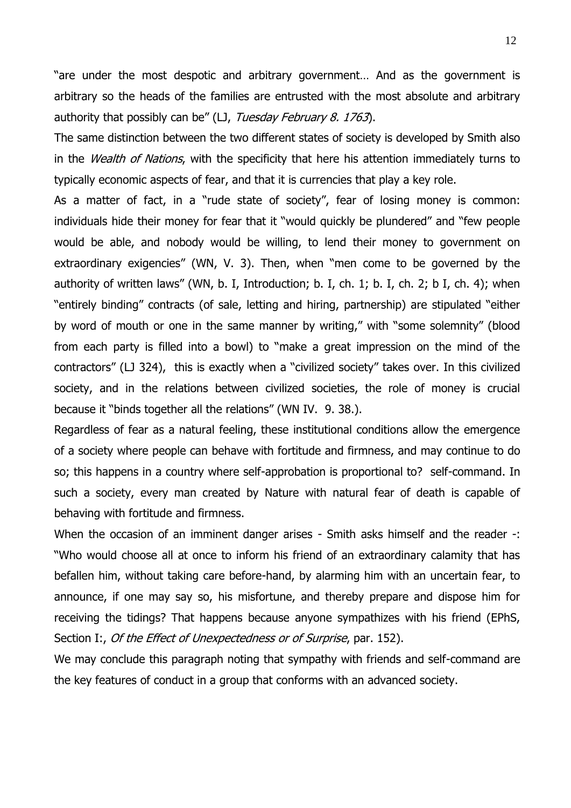"are under the most despotic and arbitrary government... And as the government is arbitrary so the heads of the families are entrusted with the most absolute and arbitrary authority that possibly can be" ( $\Box$ , Tuesday February 8. 1763).

The same distinction between the two different states of society is developed by Smith also in the *Wealth of Nations*, with the specificity that here his attention immediately turns to typically economic aspects of fear, and that it is currencies that play a key role.

As a matter of fact, in a "rude state of society", fear of losing money is common: individuals hide their money for fear that it "would quickly be plundered" and "few people would be able, and nobody would be willing, to lend their money to government on extraordinary exigencies" (WN, V. 3). Then, when "men come to be governed by the authority of written laws" (WN, b. I, Introduction; b. I, ch. 1; b. I, ch. 2; b I, ch. 4); when "entirely binding" contracts (of sale, letting and hiring, partnership) are stipulated "either by word of mouth or one in the same manner by writing," with "some solemnity" (blood from each party is filled into a bowl) to "make a great impression on the mind of the contractors" (LJ 324), this is exactly when a "civilized society" takes over. In this civilized society, and in the relations between civilized societies, the role of money is crucial because it "binds together all the relations" (WN IV. 9. 38.).

Regardless of fear as a natural feeling, these institutional conditions allow the emergence of a society where people can behave with fortitude and firmness, and may continue to do so; this happens in a country where self-approbation is proportional to? self-command. In such a society, every man created by Nature with natural fear of death is capable of behaving with fortitude and firmness.

When the occasion of an imminent danger arises - Smith asks himself and the reader -: "Who would choose all at once to inform his friend of an extraordinary calamity that has befallen him, without taking care before-hand, by alarming him with an uncertain fear, to announce, if one may say so, his misfortune, and thereby prepare and dispose him for receiving the tidings? That happens because anyone sympathizes with his friend (EPhS, Section I:, Of the Effect of Unexpectedness or of Surprise, par. 152).

We may conclude this paragraph noting that sympathy with friends and self-command are the key features of conduct in a group that conforms with an advanced society.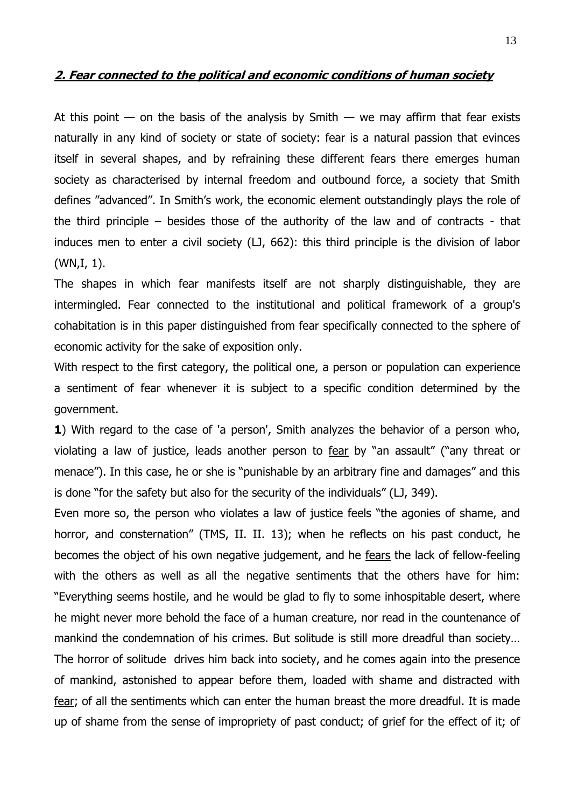## **2. Fear connected to the political and economic conditions of human society**

At this point  $-$  on the basis of the analysis by Smith  $-$  we may affirm that fear exists naturally in any kind of society or state of society: fear is a natural passion that evinces itself in several shapes, and by refraining these different fears there emerges human society as characterised by internal freedom and outbound force, a society that Smith defines "advanced". In Smith's work, the economic element outstandingly plays the role of the third principle – besides those of the authority of the law and of contracts - that induces men to enter a civil society (LJ, 662): this third principle is the division of labor (WN,I, 1).

The shapes in which fear manifests itself are not sharply distinguishable, they are intermingled. Fear connected to the institutional and political framework of a group's cohabitation is in this paper distinguished from fear specifically connected to the sphere of economic activity for the sake of exposition only.

With respect to the first category, the political one, a person or population can experience a sentiment of fear whenever it is subject to a specific condition determined by the government.

**1**) With regard to the case of 'a person', Smith analyzes the behavior of a person who, violating a law of justice, leads another person to fear by "an assault" ("any threat or menace"). In this case, he or she is "punishable by an arbitrary fine and damages" and this is done "for the safety but also for the security of the individuals" ( $LJ$ , 349).

Even more so, the person who violates a law of justice feels "the agonies of shame, and horror, and consternation" (TMS, II. II. 13); when he reflects on his past conduct, he becomes the object of his own negative judgement, and he fears the lack of fellow-feeling with the others as well as all the negative sentiments that the others have for him: ―Everything seems hostile, and he would be glad to fly to some inhospitable desert, where he might never more behold the face of a human creature, nor read in the countenance of mankind the condemnation of his crimes. But solitude is still more dreadful than society… The horror of solitude drives him back into society, and he comes again into the presence of mankind, astonished to appear before them, loaded with shame and distracted with fear; of all the sentiments which can enter the human breast the more dreadful. It is made up of shame from the sense of impropriety of past conduct; of grief for the effect of it; of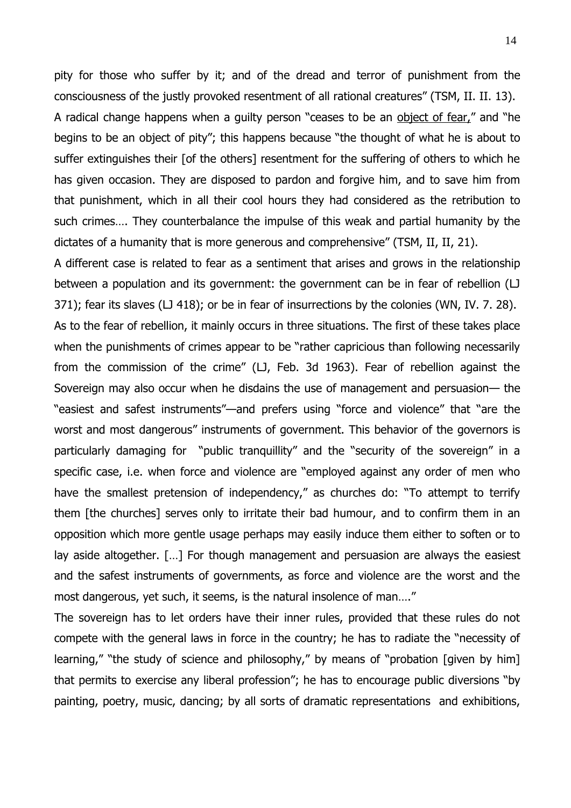pity for those who suffer by it; and of the dread and terror of punishment from the consciousness of the justly provoked resentment of all rational creatures" (TSM, II. II. 13). A radical change happens when a guilty person "ceases to be an object of fear," and "he begins to be an object of pity"; this happens because "the thought of what he is about to suffer extinguishes their [of the others] resentment for the suffering of others to which he has given occasion. They are disposed to pardon and forgive him, and to save him from that punishment, which in all their cool hours they had considered as the retribution to such crimes…. They counterbalance the impulse of this weak and partial humanity by the dictates of a humanity that is more generous and comprehensive" (TSM, II, II, 21).

A different case is related to fear as a sentiment that arises and grows in the relationship between a population and its government: the government can be in fear of rebellion (LJ 371); fear its slaves (LJ 418); or be in fear of insurrections by the colonies (WN, IV. 7. 28). As to the fear of rebellion, it mainly occurs in three situations. The first of these takes place when the punishments of crimes appear to be "rather capricious than following necessarily from the commission of the crime" (LJ, Feb. 3d 1963). Fear of rebellion against the Sovereign may also occur when he disdains the use of management and persuasion— the "easiest and safest instruments"—and prefers using "force and violence" that "are the worst and most dangerous" instruments of government. This behavior of the governors is particularly damaging for "public tranguillity" and the "security of the sovereign" in a specific case, i.e. when force and violence are "employed against any order of men who have the smallest pretension of independency," as churches do: "To attempt to terrify them [the churches] serves only to irritate their bad humour, and to confirm them in an opposition which more gentle usage perhaps may easily induce them either to soften or to lay aside altogether. […] For though management and persuasion are always the easiest and the safest instruments of governments, as force and violence are the worst and the most dangerous, yet such, it seems, is the natural insolence of man...."

The sovereign has to let orders have their inner rules, provided that these rules do not compete with the general laws in force in the country; he has to radiate the "necessity of learning," "the study of science and philosophy," by means of "probation [given by him] that permits to exercise any liberal profession"; he has to encourage public diversions "by painting, poetry, music, dancing; by all sorts of dramatic representations and exhibitions,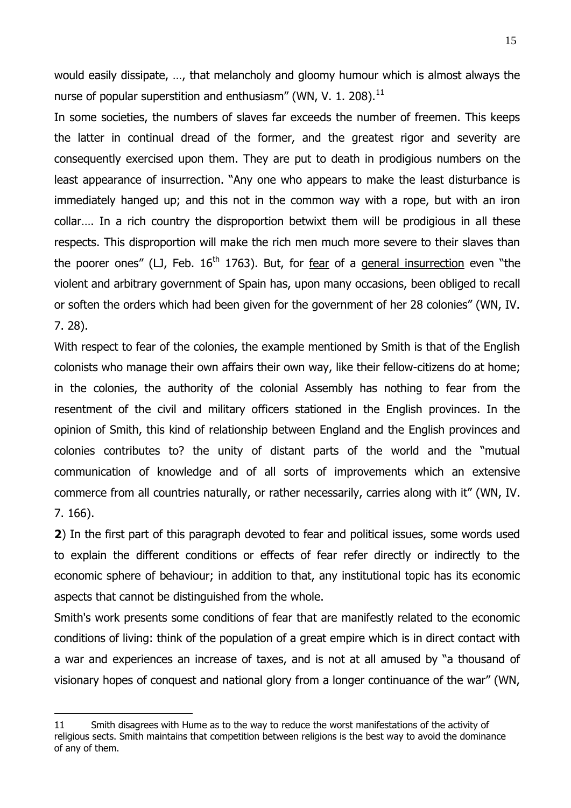would easily dissipate, …, that melancholy and gloomy humour which is almost always the nurse of popular superstition and enthusiasm" (WN, V. 1. 208). $^{11}$ 

In some societies, the numbers of slaves far exceeds the number of freemen. This keeps the latter in continual dread of the former, and the greatest rigor and severity are consequently exercised upon them. They are put to death in prodigious numbers on the least appearance of insurrection. "Any one who appears to make the least disturbance is immediately hanged up; and this not in the common way with a rope, but with an iron collar…. In a rich country the disproportion betwixt them will be prodigious in all these respects. This disproportion will make the rich men much more severe to their slaves than the poorer ones" (LJ, Feb.  $16<sup>th</sup>$  1763). But, for fear of a general insurrection even "the violent and arbitrary government of Spain has, upon many occasions, been obliged to recall or soften the orders which had been given for the government of her 28 colonies" (WN, IV. 7. 28).

With respect to fear of the colonies, the example mentioned by Smith is that of the English colonists who manage their own affairs their own way, like their fellow-citizens do at home; in the colonies, the authority of the colonial Assembly has nothing to fear from the resentment of the civil and military officers stationed in the English provinces. In the opinion of Smith, this kind of relationship between England and the English provinces and colonies contributes to? the unity of distant parts of the world and the "mutual communication of knowledge and of all sorts of improvements which an extensive commerce from all countries naturally, or rather necessarily, carries along with it" (WN, IV. 7. 166).

**2**) In the first part of this paragraph devoted to fear and political issues, some words used to explain the different conditions or effects of fear refer directly or indirectly to the economic sphere of behaviour; in addition to that, any institutional topic has its economic aspects that cannot be distinguished from the whole.

Smith's work presents some conditions of fear that are manifestly related to the economic conditions of living: think of the population of a great empire which is in direct contact with a war and experiences an increase of taxes, and is not at all amused by "a thousand of visionary hopes of conquest and national glory from a longer continuance of the war" (WN,

<sup>11</sup> Smith disagrees with Hume as to the way to reduce the worst manifestations of the activity of religious sects. Smith maintains that competition between religions is the best way to avoid the dominance of any of them.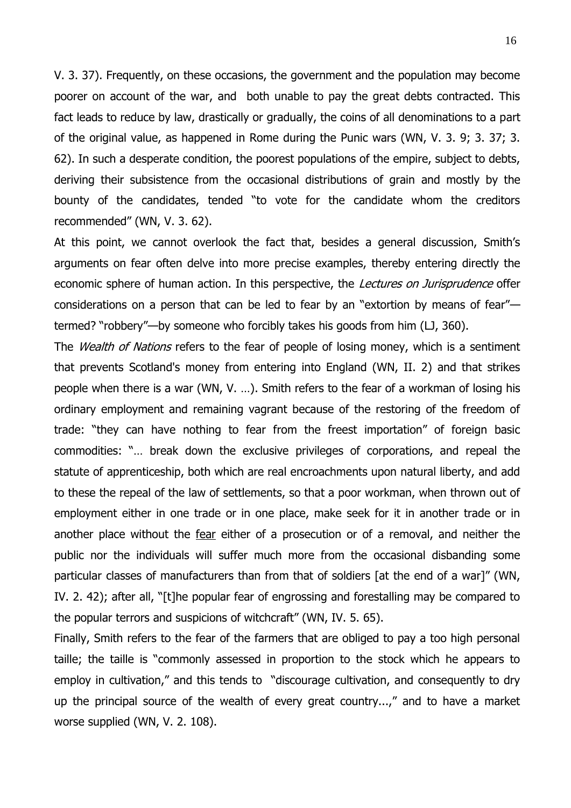V. 3. 37). Frequently, on these occasions, the government and the population may become poorer on account of the war, and both unable to pay the great debts contracted. This fact leads to reduce by law, drastically or gradually, the coins of all denominations to a part of the original value, as happened in Rome during the Punic wars (WN, V. 3. 9; 3. 37; 3. 62). In such a desperate condition, the poorest populations of the empire, subject to debts, deriving their subsistence from the occasional distributions of grain and mostly by the bounty of the candidates, tended "to vote for the candidate whom the creditors recommended" (WN, V. 3. 62).

At this point, we cannot overlook the fact that, besides a general discussion, Smith's arguments on fear often delve into more precise examples, thereby entering directly the economic sphere of human action. In this perspective, the Lectures on Jurisprudence offer considerations on a person that can be led to fear by an "extortion by means of fear" termed? "robbery"—by someone who forcibly takes his goods from him (LJ, 360).

The *Wealth of Nations* refers to the fear of people of losing money, which is a sentiment that prevents Scotland's money from entering into England (WN, II. 2) and that strikes people when there is a war (WN, V. …). Smith refers to the fear of a workman of losing his ordinary employment and remaining vagrant because of the restoring of the freedom of trade: "they can have nothing to fear from the freest importation" of foreign basic commodities: ―… break down the exclusive privileges of corporations, and repeal the statute of apprenticeship, both which are real encroachments upon natural liberty, and add to these the repeal of the law of settlements, so that a poor workman, when thrown out of employment either in one trade or in one place, make seek for it in another trade or in another place without the fear either of a prosecution or of a removal, and neither the public nor the individuals will suffer much more from the occasional disbanding some particular classes of manufacturers than from that of soldiers [at the end of a war]" (WN, IV. 2. 42); after all, "[t]he popular fear of engrossing and forestalling may be compared to the popular terrors and suspicions of witchcraft" (WN, IV. 5. 65).

Finally, Smith refers to the fear of the farmers that are obliged to pay a too high personal taille; the taille is "commonly assessed in proportion to the stock which he appears to employ in cultivation," and this tends to "discourage cultivation, and consequently to dry up the principal source of the wealth of every great country...," and to have a market worse supplied (WN, V. 2. 108).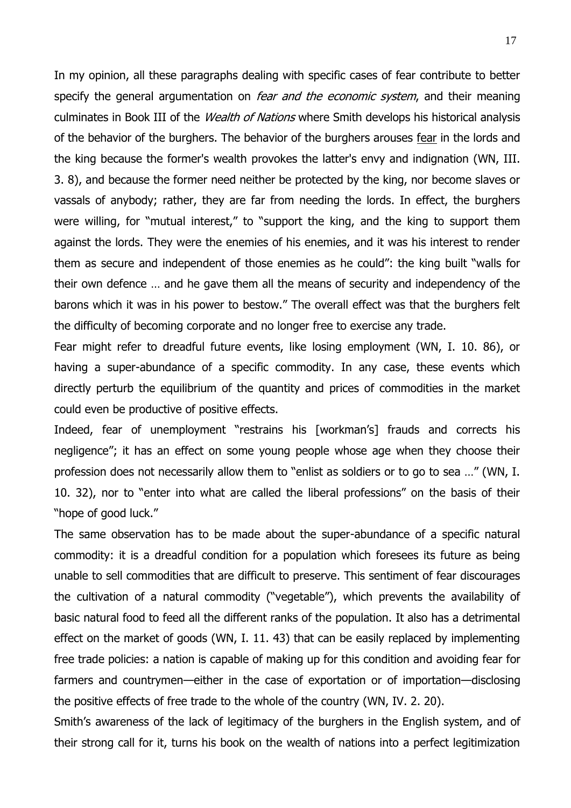In my opinion, all these paragraphs dealing with specific cases of fear contribute to better specify the general argumentation on *fear and the economic system*, and their meaning culminates in Book III of the *Wealth of Nations* where Smith develops his historical analysis of the behavior of the burghers. The behavior of the burghers arouses fear in the lords and the king because the former's wealth provokes the latter's envy and indignation (WN, III. 3. 8), and because the former need neither be protected by the king, nor become slaves or vassals of anybody; rather, they are far from needing the lords. In effect, the burghers were willing, for "mutual interest," to "support the king, and the king to support them against the lords. They were the enemies of his enemies, and it was his interest to render them as secure and independent of those enemies as he could": the king built "walls for their own defence … and he gave them all the means of security and independency of the barons which it was in his power to bestow." The overall effect was that the burghers felt the difficulty of becoming corporate and no longer free to exercise any trade.

Fear might refer to dreadful future events, like losing employment (WN, I. 10. 86), or having a super-abundance of a specific commodity. In any case, these events which directly perturb the equilibrium of the quantity and prices of commodities in the market could even be productive of positive effects.

Indeed, fear of unemployment "restrains his [workman's] frauds and corrects his negligence"; it has an effect on some young people whose age when they choose their profession does not necessarily allow them to "enlist as soldiers or to go to sea ..." (WN, I. 10. 32), nor to "enter into what are called the liberal professions" on the basis of their "hope of good luck."

The same observation has to be made about the super-abundance of a specific natural commodity: it is a dreadful condition for a population which foresees its future as being unable to sell commodities that are difficult to preserve. This sentiment of fear discourages the cultivation of a natural commodity ("vegetable"), which prevents the availability of basic natural food to feed all the different ranks of the population. It also has a detrimental effect on the market of goods (WN, I. 11. 43) that can be easily replaced by implementing free trade policies: a nation is capable of making up for this condition and avoiding fear for farmers and countrymen—either in the case of exportation or of importation—disclosing the positive effects of free trade to the whole of the country (WN, IV. 2. 20).

Smith's awareness of the lack of legitimacy of the burghers in the English system, and of their strong call for it, turns his book on the wealth of nations into a perfect legitimization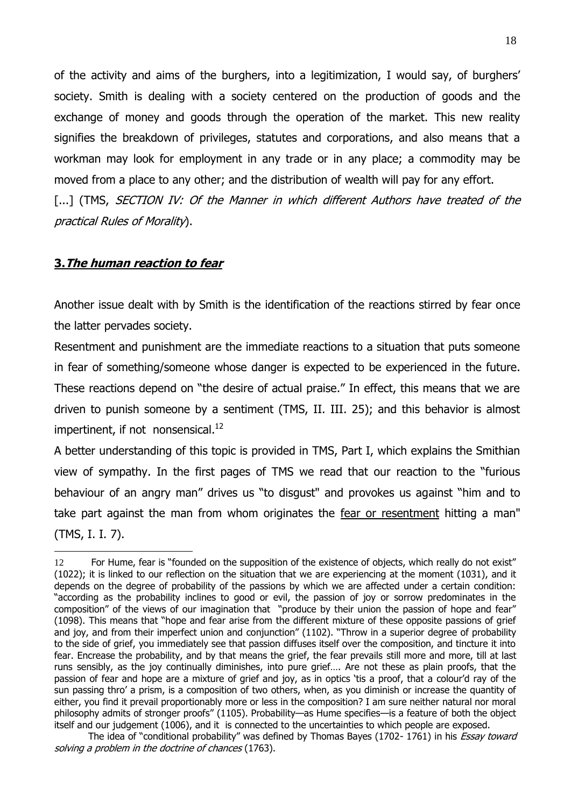of the activity and aims of the burghers, into a legitimization, I would say, of burghers' society. Smith is dealing with a society centered on the production of goods and the exchange of money and goods through the operation of the market. This new reality signifies the breakdown of privileges, statutes and corporations, and also means that a workman may look for employment in any trade or in any place; a commodity may be moved from a place to any other; and the distribution of wealth will pay for any effort.

[...] (TMS, SECTION IV: Of the Manner in which different Authors have treated of the practical Rules of Morality).

# **3.The human reaction to fear**

Another issue dealt with by Smith is the identification of the reactions stirred by fear once the latter pervades society.

Resentment and punishment are the immediate reactions to a situation that puts someone in fear of something/someone whose danger is expected to be experienced in the future. These reactions depend on "the desire of actual praise." In effect, this means that we are driven to punish someone by a sentiment (TMS, II. III. 25); and this behavior is almost impertinent, if not nonsensical. $^{12}$ 

A better understanding of this topic is provided in TMS, Part I, which explains the Smithian view of sympathy. In the first pages of TMS we read that our reaction to the "furious behaviour of an angry man" drives us "to disgust" and provokes us against "him and to take part against the man from whom originates the fear or resentment hitting a man" (TMS, I. I. 7).

<sup>1</sup> 12 For Hume, fear is "founded on the supposition of the existence of objects, which really do not exist" (1022); it is linked to our reflection on the situation that we are experiencing at the moment (1031), and it depends on the degree of probability of the passions by which we are affected under a certain condition: raccording as the probability inclines to good or evil, the passion of joy or sorrow predominates in the composition" of the views of our imagination that "produce by their union the passion of hope and fear" (1098). This means that "hope and fear arise from the different mixture of these opposite passions of grief and joy, and from their imperfect union and conjunction" (1102). "Throw in a superior degree of probability to the side of grief, you immediately see that passion diffuses itself over the composition, and tincture it into fear. Encrease the probability, and by that means the grief, the fear prevails still more and more, till at last runs sensibly, as the joy continually diminishes, into pure grief…. Are not these as plain proofs, that the passion of fear and hope are a mixture of grief and joy, as in optics 'tis a proof, that a colour'd ray of the sun passing thro' a prism, is a composition of two others, when, as you diminish or increase the quantity of either, you find it prevail proportionably more or less in the composition? I am sure neither natural nor moral philosophy admits of stronger proofs" (1105). Probability—as Hume specifies—is a feature of both the object itself and our judgement (1006), and it is connected to the uncertainties to which people are exposed.

The idea of "conditional probability" was defined by Thomas Bayes (1702- 1761) in his Essay toward solving a problem in the doctrine of chances (1763).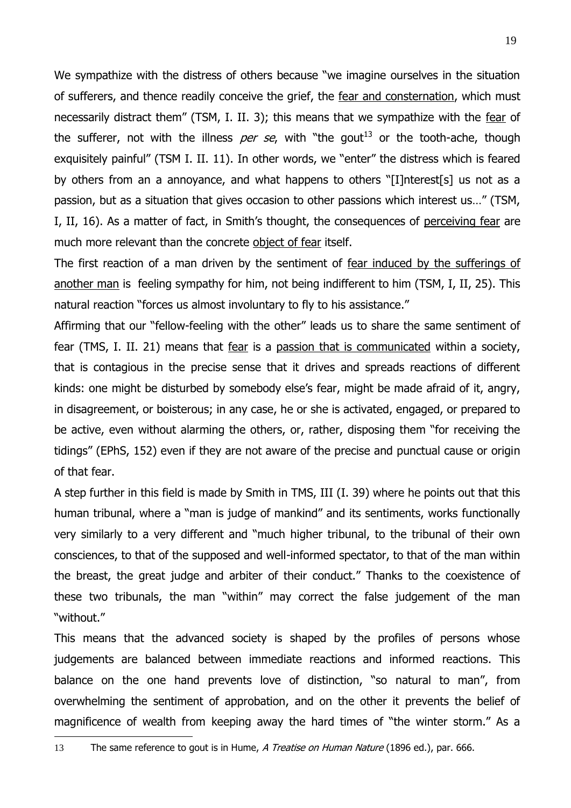We sympathize with the distress of others because "we imagine ourselves in the situation of sufferers, and thence readily conceive the grief, the fear and consternation, which must necessarily distract them" (TSM, I. II. 3); this means that we sympathize with the fear of the sufferer, not with the illness *per se*, with "the gout<sup>13</sup> or the tooth-ache, though exquisitely painful" (TSM I. II. 11). In other words, we "enter" the distress which is feared by others from an a annoyance, and what happens to others "[I]nterest[s] us not as a passion, but as a situation that gives occasion to other passions which interest us..." (TSM, I, II, 16). As a matter of fact, in Smith's thought, the consequences of perceiving fear are much more relevant than the concrete object of fear itself.

The first reaction of a man driven by the sentiment of fear induced by the sufferings of another man is feeling sympathy for him, not being indifferent to him (TSM, I, II, 25). This natural reaction "forces us almost involuntary to fly to his assistance."

Affirming that our "fellow-feeling with the other" leads us to share the same sentiment of fear (TMS, I. II. 21) means that fear is a passion that is communicated within a society, that is contagious in the precise sense that it drives and spreads reactions of different kinds: one might be disturbed by somebody else's fear, might be made afraid of it, angry, in disagreement, or boisterous; in any case, he or she is activated, engaged, or prepared to be active, even without alarming the others, or, rather, disposing them "for receiving the tidings" (EPhS, 152) even if they are not aware of the precise and punctual cause or origin of that fear.

A step further in this field is made by Smith in TMS, III (I. 39) where he points out that this human tribunal, where a "man is judge of mankind" and its sentiments, works functionally very similarly to a very different and "much higher tribunal, to the tribunal of their own consciences, to that of the supposed and well-informed spectator, to that of the man within the breast, the great judge and arbiter of their conduct." Thanks to the coexistence of these two tribunals, the man "within" may correct the false judgement of the man "without."

This means that the advanced society is shaped by the profiles of persons whose judgements are balanced between immediate reactions and informed reactions. This balance on the one hand prevents love of distinction, "so natural to man", from overwhelming the sentiment of approbation, and on the other it prevents the belief of magnificence of wealth from keeping away the hard times of "the winter storm." As a 1

13 The same reference to gout is in Hume, A Treatise on Human Nature (1896 ed.), par. 666.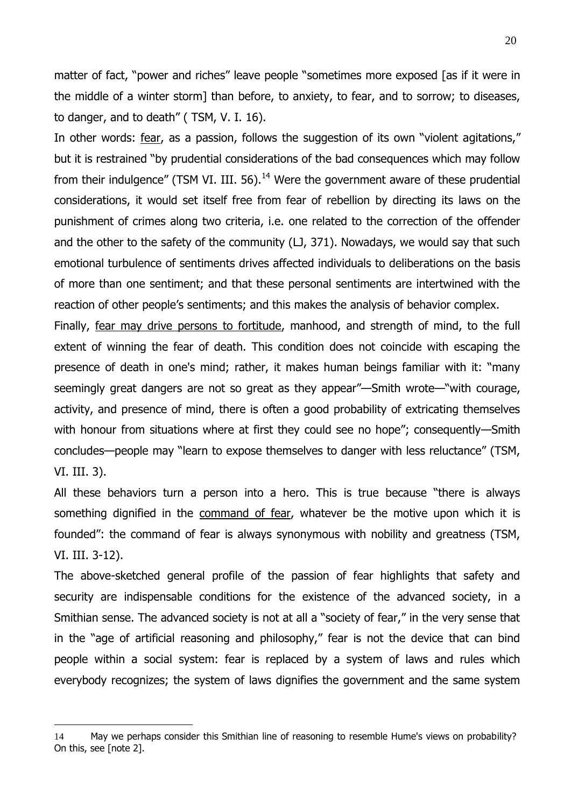matter of fact, "power and riches" leave people "sometimes more exposed [as if it were in the middle of a winter storm] than before, to anxiety, to fear, and to sorrow; to diseases, to danger, and to death" (TSM, V. I. 16).

In other words: fear, as a passion, follows the suggestion of its own "violent agitations," but it is restrained "by prudential considerations of the bad consequences which may follow from their indulgence" (TSM VI. III. 56).<sup>14</sup> Were the government aware of these prudential considerations, it would set itself free from fear of rebellion by directing its laws on the punishment of crimes along two criteria, i.e. one related to the correction of the offender and the other to the safety of the community (LJ, 371). Nowadays, we would say that such emotional turbulence of sentiments drives affected individuals to deliberations on the basis of more than one sentiment; and that these personal sentiments are intertwined with the reaction of other people's sentiments; and this makes the analysis of behavior complex.

Finally, fear may drive persons to fortitude, manhood, and strength of mind, to the full extent of winning the fear of death. This condition does not coincide with escaping the presence of death in one's mind; rather, it makes human beings familiar with it: "many seemingly great dangers are not so great as they appear"—Smith wrote—"with courage, activity, and presence of mind, there is often a good probability of extricating themselves with honour from situations where at first they could see no hope"; consequently—Smith concludes—people may "learn to expose themselves to danger with less reluctance" (TSM, VI. III. 3).

All these behaviors turn a person into a hero. This is true because "there is always something dignified in the command of fear, whatever be the motive upon which it is founded": the command of fear is always synonymous with nobility and greatness (TSM, VI. III. 3-12).

The above-sketched general profile of the passion of fear highlights that safety and security are indispensable conditions for the existence of the advanced society, in a Smithian sense. The advanced society is not at all a "society of fear," in the very sense that in the "age of artificial reasoning and philosophy," fear is not the device that can bind people within a social system: fear is replaced by a system of laws and rules which everybody recognizes; the system of laws dignifies the government and the same system

<sup>14</sup> May we perhaps consider this Smithian line of reasoning to resemble Hume's views on probability? On this, see [note 2].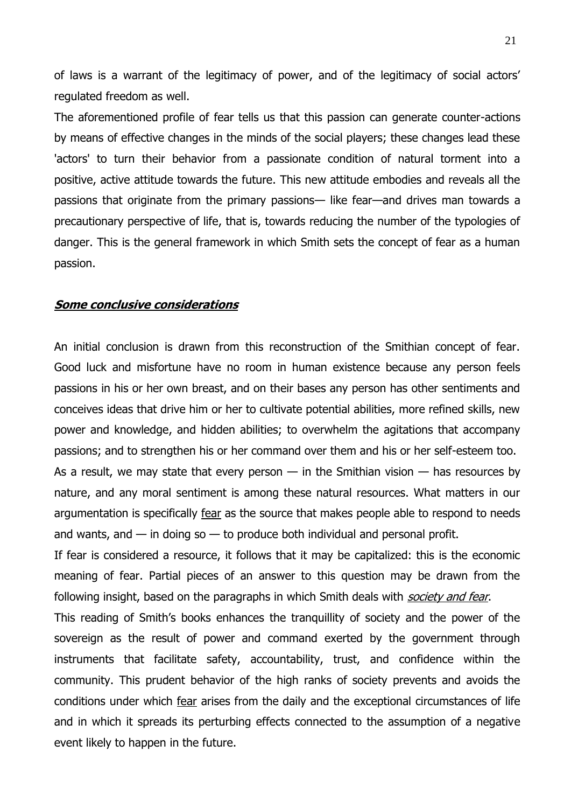of laws is a warrant of the legitimacy of power, and of the legitimacy of social actors' regulated freedom as well.

The aforementioned profile of fear tells us that this passion can generate counter-actions by means of effective changes in the minds of the social players; these changes lead these 'actors' to turn their behavior from a passionate condition of natural torment into a positive, active attitude towards the future. This new attitude embodies and reveals all the passions that originate from the primary passions— like fear—and drives man towards a precautionary perspective of life, that is, towards reducing the number of the typologies of danger. This is the general framework in which Smith sets the concept of fear as a human passion.

#### **Some conclusive considerations**

An initial conclusion is drawn from this reconstruction of the Smithian concept of fear. Good luck and misfortune have no room in human existence because any person feels passions in his or her own breast, and on their bases any person has other sentiments and conceives ideas that drive him or her to cultivate potential abilities, more refined skills, new power and knowledge, and hidden abilities; to overwhelm the agitations that accompany passions; and to strengthen his or her command over them and his or her self-esteem too.

As a result, we may state that every person  $-$  in the Smithian vision  $-$  has resources by nature, and any moral sentiment is among these natural resources. What matters in our argumentation is specifically fear as the source that makes people able to respond to needs and wants, and  $-$  in doing so  $-$  to produce both individual and personal profit.

If fear is considered a resource, it follows that it may be capitalized: this is the economic meaning of fear. Partial pieces of an answer to this question may be drawn from the following insight, based on the paragraphs in which Smith deals with *society and fear*.

This reading of Smith's books enhances the tranquillity of society and the power of the sovereign as the result of power and command exerted by the government through instruments that facilitate safety, accountability, trust, and confidence within the community. This prudent behavior of the high ranks of society prevents and avoids the conditions under which fear arises from the daily and the exceptional circumstances of life and in which it spreads its perturbing effects connected to the assumption of a negative event likely to happen in the future.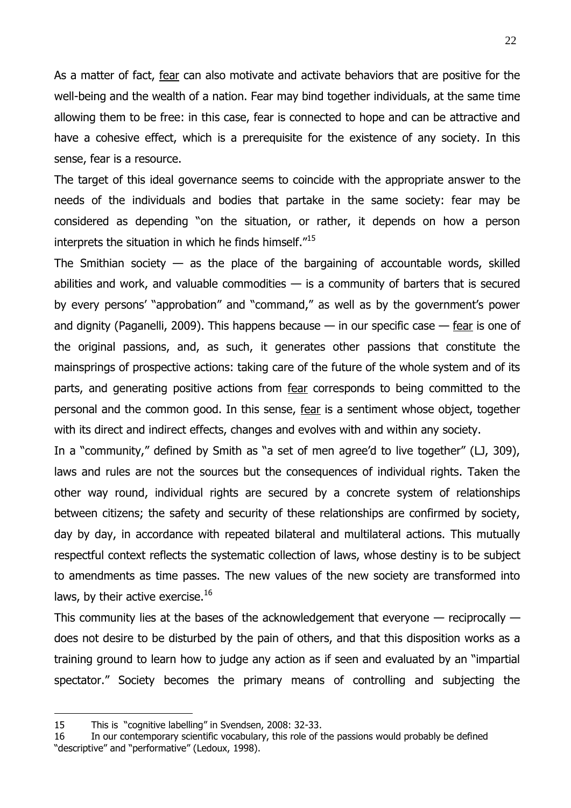As a matter of fact, fear can also motivate and activate behaviors that are positive for the well-being and the wealth of a nation. Fear may bind together individuals, at the same time allowing them to be free: in this case, fear is connected to hope and can be attractive and have a cohesive effect, which is a prerequisite for the existence of any society. In this sense, fear is a resource.

The target of this ideal governance seems to coincide with the appropriate answer to the needs of the individuals and bodies that partake in the same society: fear may be considered as depending "on the situation, or rather, it depends on how a person interprets the situation in which he finds himself. $115$ 

The Smithian society  $-$  as the place of the bargaining of accountable words, skilled abilities and work, and valuable commodities  $-$  is a community of barters that is secured by every persons' "approbation" and "command," as well as by the government's power and dignity (Paganelli, 2009). This happens because  $-$  in our specific case  $-$  fear is one of the original passions, and, as such, it generates other passions that constitute the mainsprings of prospective actions: taking care of the future of the whole system and of its parts, and generating positive actions from fear corresponds to being committed to the personal and the common good. In this sense, fear is a sentiment whose object, together with its direct and indirect effects, changes and evolves with and within any society.

In a "community," defined by Smith as "a set of men agree'd to live together" (LJ, 309), laws and rules are not the sources but the consequences of individual rights. Taken the other way round, individual rights are secured by a concrete system of relationships between citizens; the safety and security of these relationships are confirmed by society, day by day, in accordance with repeated bilateral and multilateral actions. This mutually respectful context reflects the systematic collection of laws, whose destiny is to be subject to amendments as time passes. The new values of the new society are transformed into laws, by their active exercise. $^{16}$ 

This community lies at the bases of the acknowledgement that everyone — reciprocally does not desire to be disturbed by the pain of others, and that this disposition works as a training ground to learn how to judge any action as if seen and evaluated by an "impartial spectator." Society becomes the primary means of controlling and subjecting the

<sup>15</sup> This is "cognitive labelling" in Svendsen, 2008: 32-33.

<sup>16</sup> In our contemporary scientific vocabulary, this role of the passions would probably be defined "descriptive" and "performative" (Ledoux, 1998).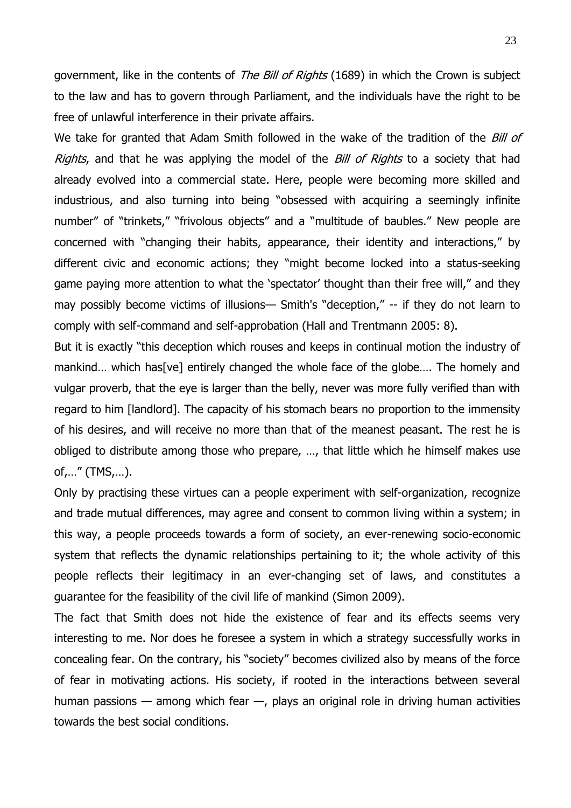government, like in the contents of *The Bill of Rights* (1689) in which the Crown is subject to the law and has to govern through Parliament, and the individuals have the right to be free of unlawful interference in their private affairs.

We take for granted that Adam Smith followed in the wake of the tradition of the Bill of Rights, and that he was applying the model of the Bill of Rights to a society that had already evolved into a commercial state. Here, people were becoming more skilled and industrious, and also turning into being "obsessed with acquiring a seemingly infinite number" of "trinkets," "frivolous objects" and a "multitude of baubles." New people are concerned with "changing their habits, appearance, their identity and interactions," by different civic and economic actions; they "might become locked into a status-seeking game paying more attention to what the 'spectator' thought than their free will," and they may possibly become victims of illusions— Smith's "deception," -- if they do not learn to comply with self-command and self-approbation (Hall and Trentmann 2005: 8).

But it is exactly "this deception which rouses and keeps in continual motion the industry of mankind… which has[ve] entirely changed the whole face of the globe…. The homely and vulgar proverb, that the eye is larger than the belly, never was more fully verified than with regard to him [landlord]. The capacity of his stomach bears no proportion to the immensity of his desires, and will receive no more than that of the meanest peasant. The rest he is obliged to distribute among those who prepare, …, that little which he himself makes use of,…‖ (TMS,…).

Only by practising these virtues can a people experiment with self-organization, recognize and trade mutual differences, may agree and consent to common living within a system; in this way, a people proceeds towards a form of society, an ever-renewing socio-economic system that reflects the dynamic relationships pertaining to it; the whole activity of this people reflects their legitimacy in an ever-changing set of laws, and constitutes a guarantee for the feasibility of the civil life of mankind (Simon 2009).

The fact that Smith does not hide the existence of fear and its effects seems very interesting to me. Nor does he foresee a system in which a strategy successfully works in concealing fear. On the contrary, his "society" becomes civilized also by means of the force of fear in motivating actions. His society, if rooted in the interactions between several human passions — among which fear —, plays an original role in driving human activities towards the best social conditions.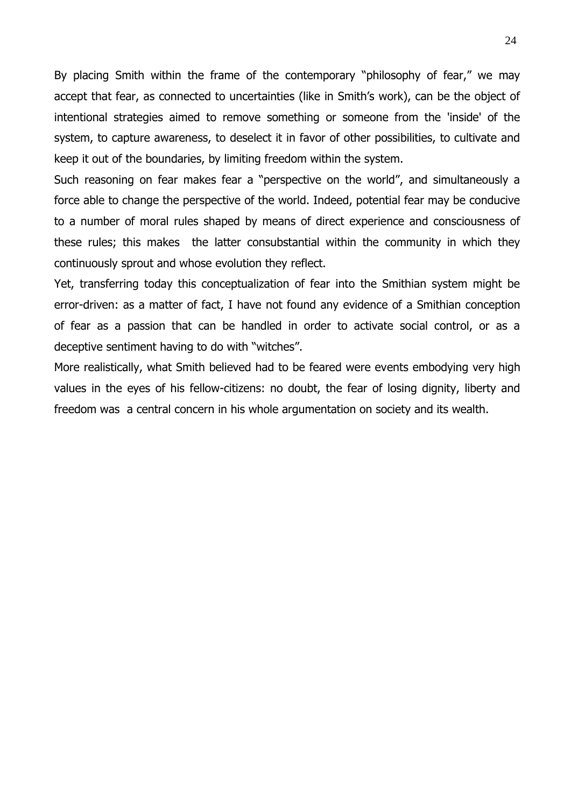By placing Smith within the frame of the contemporary "philosophy of fear," we may accept that fear, as connected to uncertainties (like in Smith's work), can be the object of intentional strategies aimed to remove something or someone from the 'inside' of the system, to capture awareness, to deselect it in favor of other possibilities, to cultivate and keep it out of the boundaries, by limiting freedom within the system.

Such reasoning on fear makes fear a "perspective on the world", and simultaneously a force able to change the perspective of the world. Indeed, potential fear may be conducive to a number of moral rules shaped by means of direct experience and consciousness of these rules; this makes the latter consubstantial within the community in which they continuously sprout and whose evolution they reflect.

Yet, transferring today this conceptualization of fear into the Smithian system might be error-driven: as a matter of fact, I have not found any evidence of a Smithian conception of fear as a passion that can be handled in order to activate social control, or as a deceptive sentiment having to do with "witches".

More realistically, what Smith believed had to be feared were events embodying very high values in the eyes of his fellow-citizens: no doubt, the fear of losing dignity, liberty and freedom was a central concern in his whole argumentation on society and its wealth.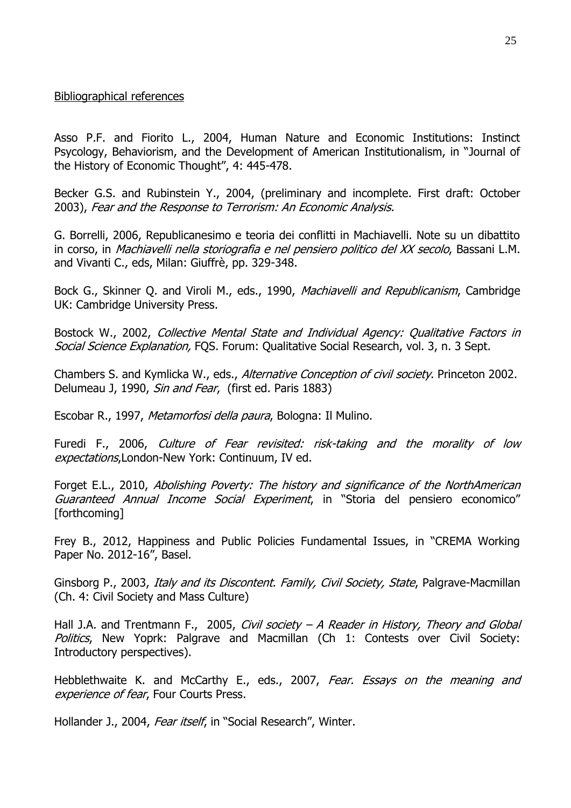# Bibliographical references

Asso P.F. and Fiorito L., 2004, Human Nature and Economic Institutions: Instinct Psycology, Behaviorism, and the Development of American Institutionalism, in "Journal of the History of Economic Thought", 4: 445-478.

Becker G.S. and Rubinstein Y., 2004, (preliminary and incomplete. First draft: October 2003), Fear and the Response to Terrorism: An Economic Analysis.

G. Borrelli, 2006, Republicanesimo e teoria dei conflitti in Machiavelli. Note su un dibattito in corso, in *Machiavelli nella storiografia e nel pensiero politico del XX secolo*, Bassani L.M. and Vivanti C., eds, Milan: Giuffrè, pp. 329-348.

Bock G., Skinner Q. and Viroli M., eds., 1990, Machiavelli and Republicanism, Cambridge UK: Cambridge University Press.

Bostock W., 2002, Collective Mental State and Individual Agency: Qualitative Factors in Social Science Explanation, FOS. Forum: Qualitative Social Research, vol. 3, n. 3 Sept.

Chambers S. and Kymlicka W., eds., Alternative Conception of civil society. Princeton 2002. Delumeau J, 1990, Sin and Fear, (first ed. Paris 1883)

Escobar R., 1997, Metamorfosi della paura, Bologna: Il Mulino.

Furedi F., 2006, Culture of Fear revisited: risk-taking and the morality of low expectations,London-New York: Continuum, IV ed.

Forget E.L., 2010, Abolishing Poverty: The history and significance of the NorthAmerican Guaranteed Annual Income Social Experiment, in "Storia del pensiero economico" [forthcoming]

Frey B., 2012, Happiness and Public Policies Fundamental Issues, in "CREMA Working Paper No. 2012-16", Basel.

Ginsborg P., 2003, Italy and its Discontent. Family, Civil Society, State, Palgrave-Macmillan (Ch. 4: Civil Society and Mass Culture)

Hall J.A. and Trentmann F., 2005, Civil society  $-A$  Reader in History, Theory and Global Politics, New Yoprk: Palgrave and Macmillan (Ch 1: Contests over Civil Society: Introductory perspectives).

Hebblethwaite K. and McCarthy E., eds., 2007, Fear. Essays on the meaning and experience of fear, Four Courts Press.

Hollander J., 2004, Fear itself, in "Social Research", Winter.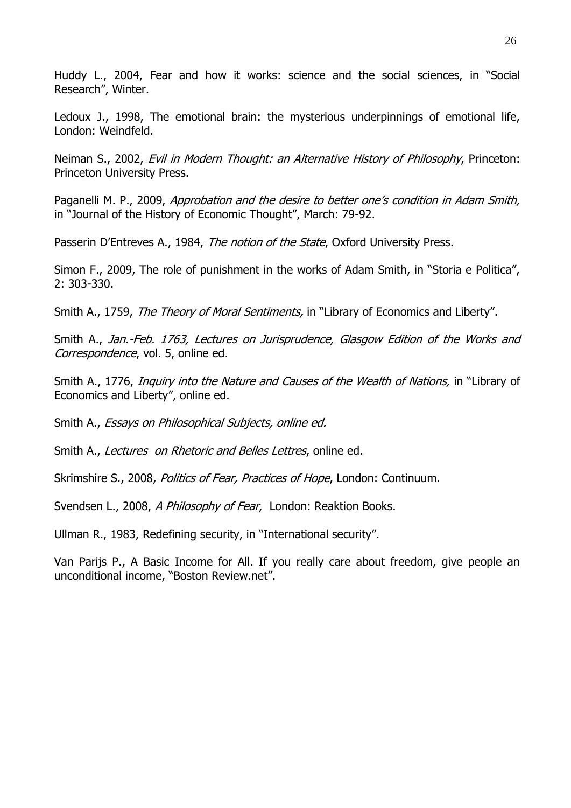Huddy L., 2004, Fear and how it works: science and the social sciences, in "Social Research", Winter.

Ledoux J., 1998, The emotional brain: the mysterious underpinnings of emotional life, London: Weindfeld.

Neiman S., 2002, Evil in Modern Thought: an Alternative History of Philosophy, Princeton: Princeton University Press.

Paganelli M. P., 2009, Approbation and the desire to better one's condition in Adam Smith, in "Journal of the History of Economic Thought", March: 79-92.

Passerin D'Entreves A., 1984, The notion of the State, Oxford University Press.

Simon F., 2009, The role of punishment in the works of Adam Smith, in "Storia e Politica", 2: 303-330.

Smith A., 1759, The Theory of Moral Sentiments, in "Library of Economics and Liberty".

Smith A., Jan.-Feb. 1763, Lectures on Jurisprudence, Glasgow Edition of the Works and Correspondence, vol. 5, online ed.

Smith A., 1776, *Inquiry into the Nature and Causes of the Wealth of Nations*, in "Library of Economics and Liberty", online ed.

Smith A., Essays on Philosophical Subjects, online ed.

Smith A., Lectures on Rhetoric and Belles Lettres, online ed.

Skrimshire S., 2008, *Politics of Fear, Practices of Hope*, London: Continuum.

Svendsen L., 2008, A Philosophy of Fear, London: Reaktion Books.

Ullman R., 1983, Redefining security, in "International security".

Van Parijs P., A Basic Income for All. If you really care about freedom, give people an unconditional income, "Boston Review.net".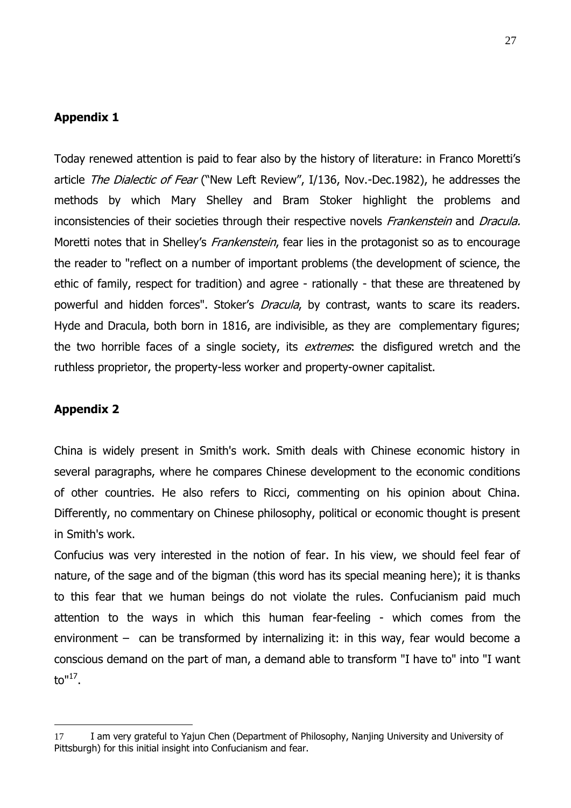# **Appendix 1**

Today renewed attention is paid to fear also by the history of literature: in Franco Moretti's article The Dialectic of Fear ("New Left Review", I/136, Nov.-Dec.1982), he addresses the methods by which Mary Shelley and Bram Stoker highlight the problems and inconsistencies of their societies through their respective novels Frankenstein and Dracula. Moretti notes that in Shelley's *Frankenstein*, fear lies in the protagonist so as to encourage the reader to "reflect on a number of important problems (the development of science, the ethic of family, respect for tradition) and agree - rationally - that these are threatened by powerful and hidden forces". Stoker's *Dracula*, by contrast, wants to scare its readers. Hyde and Dracula, both born in 1816, are indivisible, as they are complementary figures; the two horrible faces of a single society, its extremes: the disfigured wretch and the ruthless proprietor, the property-less worker and property-owner capitalist.

# **Appendix 2**

1

China is widely present in Smith's work. Smith deals with Chinese economic history in several paragraphs, where he compares Chinese development to the economic conditions of other countries. He also refers to Ricci, commenting on his opinion about China. Differently, no commentary on Chinese philosophy, political or economic thought is present in Smith's work.

Confucius was very interested in the notion of fear. In his view, we should feel fear of nature, of the sage and of the bigman (this word has its special meaning here); it is thanks to this fear that we human beings do not violate the rules. Confucianism paid much attention to the ways in which this human fear-feeling - which comes from the environment – can be transformed by internalizing it: in this way, fear would become a conscious demand on the part of man, a demand able to transform "I have to" into "I want to"<sup>17</sup> .

<sup>17</sup> I am very grateful to Yajun Chen (Department of Philosophy, Nanjing University and University of Pittsburgh) for this initial insight into Confucianism and fear.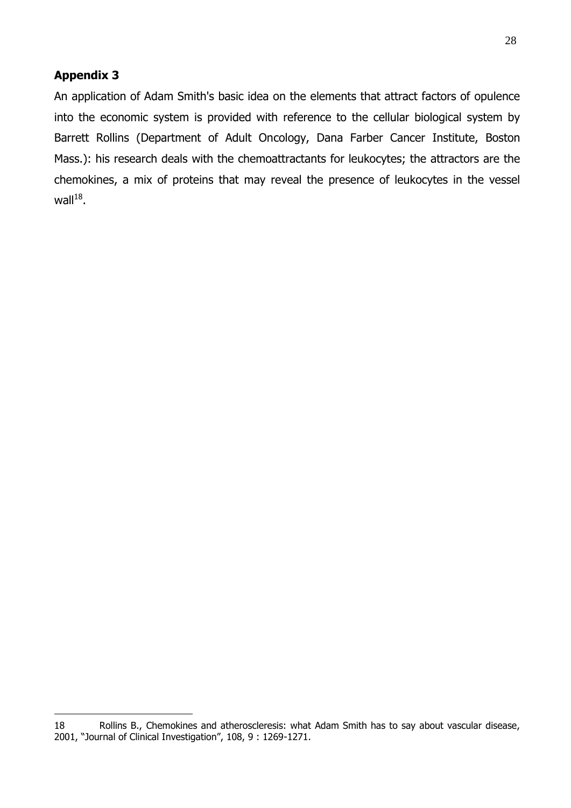# **Appendix 3**

<u>.</u>

An application of Adam Smith's basic idea on the elements that attract factors of opulence into the economic system is provided with reference to the cellular biological system by Barrett Rollins (Department of Adult Oncology, Dana Farber Cancer Institute, Boston Mass.): his research deals with the chemoattractants for leukocytes; the attractors are the chemokines, a mix of proteins that may reveal the presence of leukocytes in the vessel wall $^{18}$ .

<sup>18</sup> Rollins B., Chemokines and atheroscleresis: what Adam Smith has to say about vascular disease, 2001, "Journal of Clinical Investigation", 108, 9: 1269-1271.